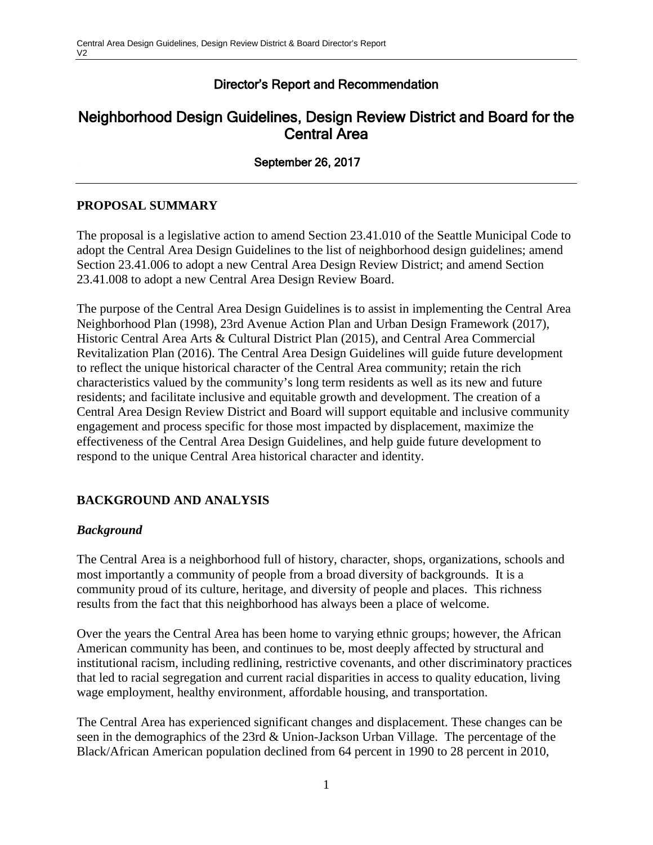# Director's Report and Recommendation

# Neighborhood Design Guidelines, Design Review District and Board for the Central Area

September 26, 2017

## **PROPOSAL SUMMARY**

The proposal is a legislative action to amend Section 23.41.010 of the Seattle Municipal Code to adopt the Central Area Design Guidelines to the list of neighborhood design guidelines; amend Section 23.41.006 to adopt a new Central Area Design Review District; and amend Section 23.41.008 to adopt a new Central Area Design Review Board.

The purpose of the Central Area Design Guidelines is to assist in implementing the Central Area Neighborhood Plan (1998), 23rd Avenue Action Plan and Urban Design Framework (2017), Historic Central Area Arts & Cultural District Plan (2015), and Central Area Commercial Revitalization Plan (2016). The Central Area Design Guidelines will guide future development to reflect the unique historical character of the Central Area community; retain the rich characteristics valued by the community's long term residents as well as its new and future residents; and facilitate inclusive and equitable growth and development. The creation of a Central Area Design Review District and Board will support equitable and inclusive community engagement and process specific for those most impacted by displacement, maximize the effectiveness of the Central Area Design Guidelines, and help guide future development to respond to the unique Central Area historical character and identity.

## **BACKGROUND AND ANALYSIS**

## *Background*

The Central Area is a neighborhood full of history, character, shops, organizations, schools and most importantly a community of people from a broad diversity of backgrounds. It is a community proud of its culture, heritage, and diversity of people and places. This richness results from the fact that this neighborhood has always been a place of welcome.

Over the years the Central Area has been home to varying ethnic groups; however, the African American community has been, and continues to be, most deeply affected by structural and institutional racism, including redlining, restrictive covenants, and other discriminatory practices that led to racial segregation and current racial disparities in access to quality education, living wage employment, healthy environment, affordable housing, and transportation.

The Central Area has experienced significant changes and displacement. These changes can be seen in the demographics of the 23rd & Union-Jackson Urban Village. The percentage of the Black/African American population declined from 64 percent in 1990 to 28 percent in 2010,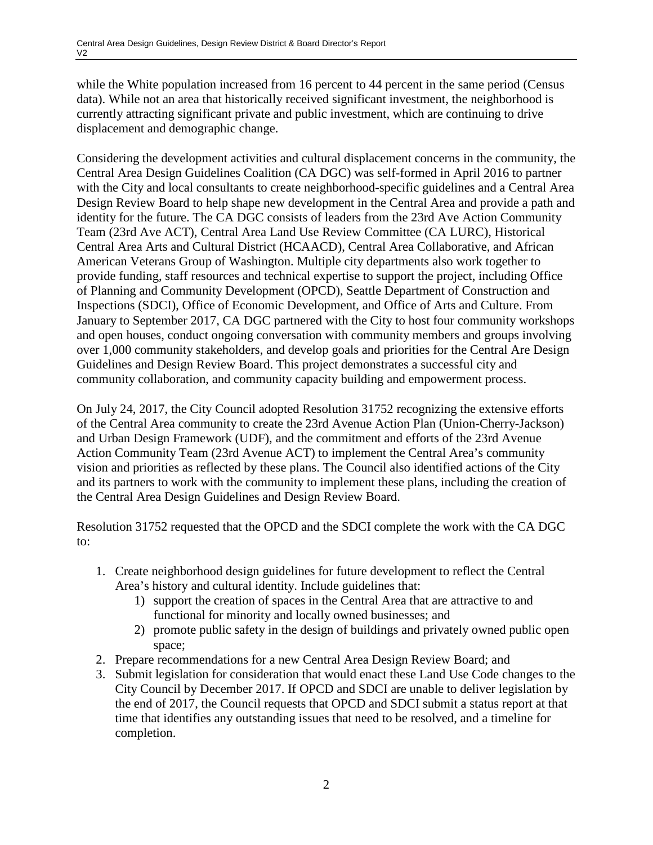while the White population increased from 16 percent to 44 percent in the same period (Census data). While not an area that historically received significant investment, the neighborhood is currently attracting significant private and public investment, which are continuing to drive displacement and demographic change.

Considering the development activities and cultural displacement concerns in the community, the Central Area Design Guidelines Coalition (CA DGC) was self-formed in April 2016 to partner with the City and local consultants to create neighborhood-specific guidelines and a Central Area Design Review Board to help shape new development in the Central Area and provide a path and identity for the future. The CA DGC consists of leaders from the 23rd Ave Action Community Team (23rd Ave ACT), Central Area Land Use Review Committee (CA LURC), Historical Central Area Arts and Cultural District (HCAACD), Central Area Collaborative, and African American Veterans Group of Washington. Multiple city departments also work together to provide funding, staff resources and technical expertise to support the project, including Office of Planning and Community Development (OPCD), Seattle Department of Construction and Inspections (SDCI), Office of Economic Development, and Office of Arts and Culture. From January to September 2017, CA DGC partnered with the City to host four community workshops and open houses, conduct ongoing conversation with community members and groups involving over 1,000 community stakeholders, and develop goals and priorities for the Central Are Design Guidelines and Design Review Board. This project demonstrates a successful city and community collaboration, and community capacity building and empowerment process.

On July 24, 2017, the City Council adopted Resolution 31752 recognizing the extensive efforts of the Central Area community to create the 23rd Avenue Action Plan (Union-Cherry-Jackson) and Urban Design Framework (UDF), and the commitment and efforts of the 23rd Avenue Action Community Team (23rd Avenue ACT) to implement the Central Area's community vision and priorities as reflected by these plans. The Council also identified actions of the City and its partners to work with the community to implement these plans, including the creation of the Central Area Design Guidelines and Design Review Board.

Resolution 31752 requested that the OPCD and the SDCI complete the work with the CA DGC to:

- 1. Create neighborhood design guidelines for future development to reflect the Central Area's history and cultural identity. Include guidelines that:
	- 1) support the creation of spaces in the Central Area that are attractive to and functional for minority and locally owned businesses; and
	- 2) promote public safety in the design of buildings and privately owned public open space;
- 2. Prepare recommendations for a new Central Area Design Review Board; and
- 3. Submit legislation for consideration that would enact these Land Use Code changes to the City Council by December 2017. If OPCD and SDCI are unable to deliver legislation by the end of 2017, the Council requests that OPCD and SDCI submit a status report at that time that identifies any outstanding issues that need to be resolved, and a timeline for completion.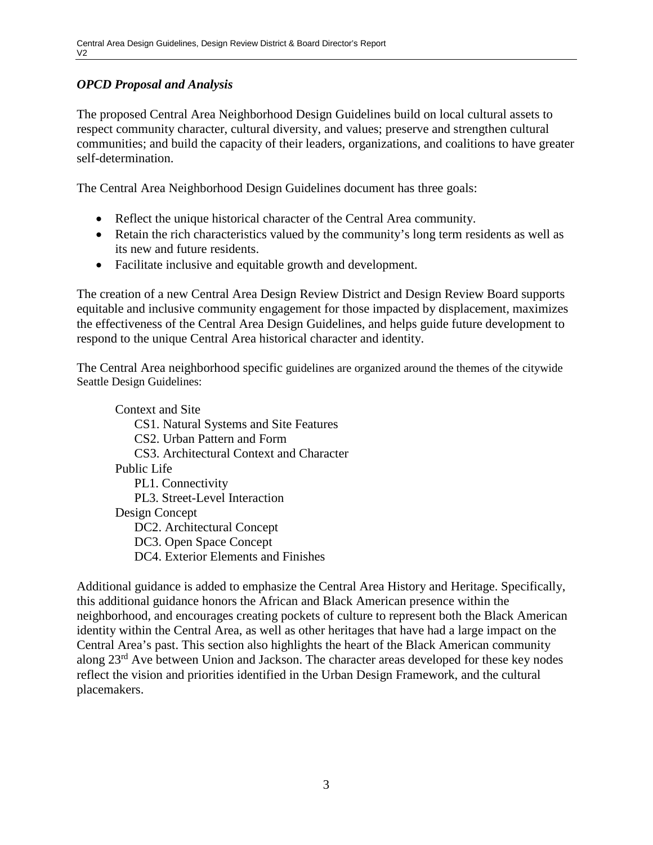## *OPCD Proposal and Analysis*

The proposed Central Area Neighborhood Design Guidelines build on local cultural assets to respect community character, cultural diversity, and values; preserve and strengthen cultural communities; and build the capacity of their leaders, organizations, and coalitions to have greater self-determination.

The Central Area Neighborhood Design Guidelines document has three goals:

- Reflect the unique historical character of the Central Area community.
- Retain the rich characteristics valued by the community's long term residents as well as its new and future residents.
- Facilitate inclusive and equitable growth and development.

The creation of a new Central Area Design Review District and Design Review Board supports equitable and inclusive community engagement for those impacted by displacement, maximizes the effectiveness of the Central Area Design Guidelines, and helps guide future development to respond to the unique Central Area historical character and identity.

The Central Area neighborhood specific guidelines are organized around the themes of the citywide Seattle Design Guidelines:

Context and Site

CS1. Natural Systems and Site Features

CS2. Urban Pattern and Form

CS3. Architectural Context and Character

#### Public Life

PL1. Connectivity PL3. Street-Level Interaction Design Concept DC2. Architectural Concept DC3. Open Space Concept DC4. Exterior Elements and Finishes

Additional guidance is added to emphasize the Central Area History and Heritage. Specifically, this additional guidance honors the African and Black American presence within the neighborhood, and encourages creating pockets of culture to represent both the Black American identity within the Central Area, as well as other heritages that have had a large impact on the Central Area's past. This section also highlights the heart of the Black American community along 23rd Ave between Union and Jackson. The character areas developed for these key nodes reflect the vision and priorities identified in the Urban Design Framework, and the cultural placemakers.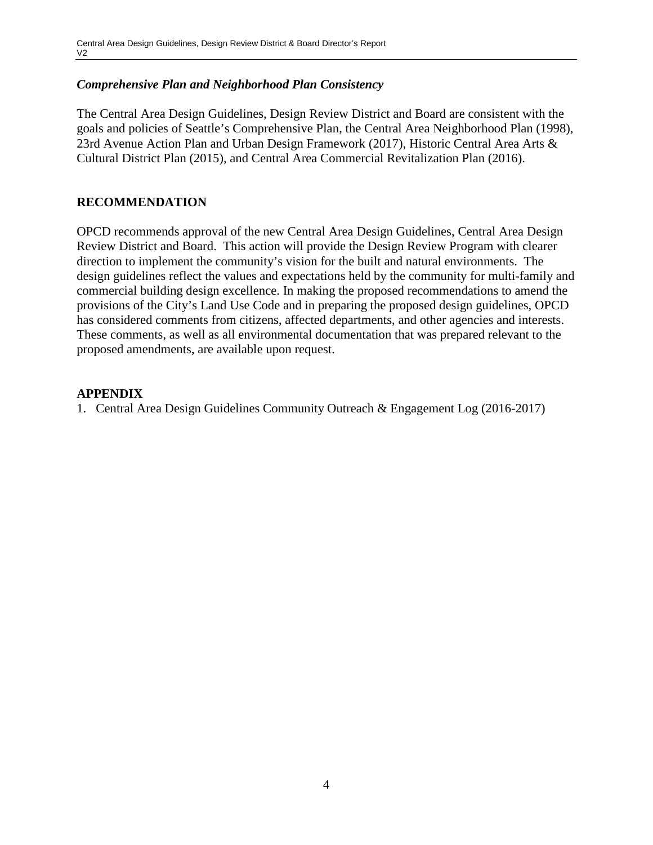#### *Comprehensive Plan and Neighborhood Plan Consistency*

The Central Area Design Guidelines, Design Review District and Board are consistent with the goals and policies of Seattle's Comprehensive Plan, the Central Area Neighborhood Plan (1998), 23rd Avenue Action Plan and Urban Design Framework (2017), Historic Central Area Arts & Cultural District Plan (2015), and Central Area Commercial Revitalization Plan (2016).

#### **RECOMMENDATION**

OPCD recommends approval of the new Central Area Design Guidelines, Central Area Design Review District and Board. This action will provide the Design Review Program with clearer direction to implement the community's vision for the built and natural environments. The design guidelines reflect the values and expectations held by the community for multi-family and commercial building design excellence. In making the proposed recommendations to amend the provisions of the City's Land Use Code and in preparing the proposed design guidelines, OPCD has considered comments from citizens, affected departments, and other agencies and interests. These comments, as well as all environmental documentation that was prepared relevant to the proposed amendments, are available upon request.

#### **APPENDIX**

1. Central Area Design Guidelines Community Outreach & Engagement Log (2016-2017)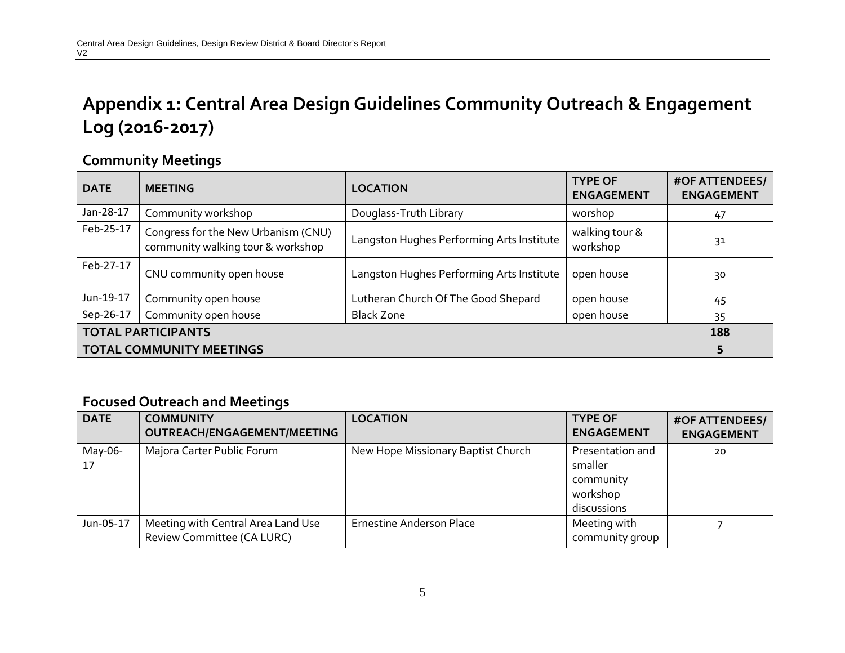# **Appendix 1: Central Area Design Guidelines Community Outreach & Engagement Log (2016-2017)**

# **Community Meetings**

| <b>DATE</b>                     | <b>MEETING</b>                                                           | <b>LOCATION</b>                           | <b>TYPE OF</b><br><b>ENGAGEMENT</b> | <b>#OF ATTENDEES/</b><br><b>ENGAGEMENT</b> |  |
|---------------------------------|--------------------------------------------------------------------------|-------------------------------------------|-------------------------------------|--------------------------------------------|--|
| Jan-28-17                       | Community workshop                                                       | Douglass-Truth Library                    | worshop                             | 47                                         |  |
| Feb-25-17                       | Congress for the New Urbanism (CNU)<br>community walking tour & workshop | Langston Hughes Performing Arts Institute | walking tour &<br>workshop          | 31                                         |  |
| Feb-27-17                       | CNU community open house                                                 | Langston Hughes Performing Arts Institute | open house                          | 30                                         |  |
| Jun-19-17                       | Community open house                                                     | Lutheran Church Of The Good Shepard       | open house                          | 45                                         |  |
| Sep-26-17                       | Community open house                                                     | <b>Black Zone</b>                         | open house                          | 35                                         |  |
| <b>TOTAL PARTICIPANTS</b>       |                                                                          |                                           |                                     |                                            |  |
| <b>TOTAL COMMUNITY MEETINGS</b> |                                                                          |                                           |                                     |                                            |  |

## **Focused Outreach and Meetings**

| <b>DATE</b>   | <b>COMMUNITY</b><br>OUTREACH/ENGAGEMENT/MEETING                  | <b>LOCATION</b>                    | <b>TYPE OF</b><br><b>ENGAGEMENT</b>                                 | <b>#OF ATTENDEES/</b><br><b>ENGAGEMENT</b> |
|---------------|------------------------------------------------------------------|------------------------------------|---------------------------------------------------------------------|--------------------------------------------|
| May-06-<br>17 | Majora Carter Public Forum                                       | New Hope Missionary Baptist Church | Presentation and<br>smaller<br>community<br>workshop<br>discussions | 20                                         |
| Jun-05-17     | Meeting with Central Area Land Use<br>Review Committee (CA LURC) | <b>Ernestine Anderson Place</b>    | Meeting with<br>community group                                     |                                            |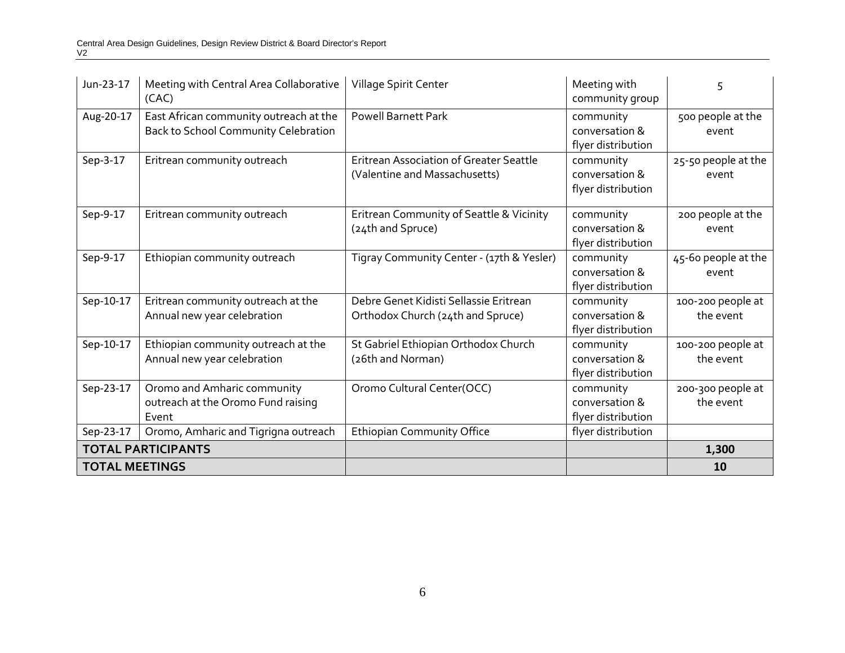| Jun-23-17                 | Meeting with Central Area Collaborative<br>(CAC)                               | Village Spirit Center                                                           | Meeting with<br>community group                   | 5                              |
|---------------------------|--------------------------------------------------------------------------------|---------------------------------------------------------------------------------|---------------------------------------------------|--------------------------------|
| Aug-20-17                 | East African community outreach at the<br>Back to School Community Celebration | Powell Barnett Park                                                             | community<br>conversation &<br>flyer distribution | 500 people at the<br>event     |
| Sep-3-17                  | Eritrean community outreach                                                    | <b>Eritrean Association of Greater Seattle</b><br>(Valentine and Massachusetts) | community<br>conversation &<br>flyer distribution | 25-50 people at the<br>event   |
| Sep-9-17                  | Eritrean community outreach                                                    | Eritrean Community of Seattle & Vicinity<br>(24th and Spruce)                   | community<br>conversation &<br>flyer distribution | 200 people at the<br>event     |
| Sep-9-17                  | Ethiopian community outreach                                                   | Tigray Community Center - (17th & Yesler)                                       | community<br>conversation &<br>flyer distribution | 45-60 people at the<br>event   |
| Sep-10-17                 | Eritrean community outreach at the<br>Annual new year celebration              | Debre Genet Kidisti Sellassie Eritrean<br>Orthodox Church (24th and Spruce)     | community<br>conversation &<br>flyer distribution | 100-200 people at<br>the event |
| Sep-10-17                 | Ethiopian community outreach at the<br>Annual new year celebration             | St Gabriel Ethiopian Orthodox Church<br>(26th and Norman)                       | community<br>conversation &<br>flyer distribution | 100-200 people at<br>the event |
| Sep-23-17                 | Oromo and Amharic community<br>outreach at the Oromo Fund raising<br>Event     | Oromo Cultural Center(OCC)                                                      | community<br>conversation &<br>flyer distribution | 200-300 people at<br>the event |
| Sep-23-17                 | Oromo, Amharic and Tigrigna outreach                                           | <b>Ethiopian Community Office</b>                                               | flyer distribution                                |                                |
| <b>TOTAL PARTICIPANTS</b> |                                                                                |                                                                                 |                                                   | 1,300                          |
| <b>TOTAL MEETINGS</b>     |                                                                                |                                                                                 |                                                   | 10                             |